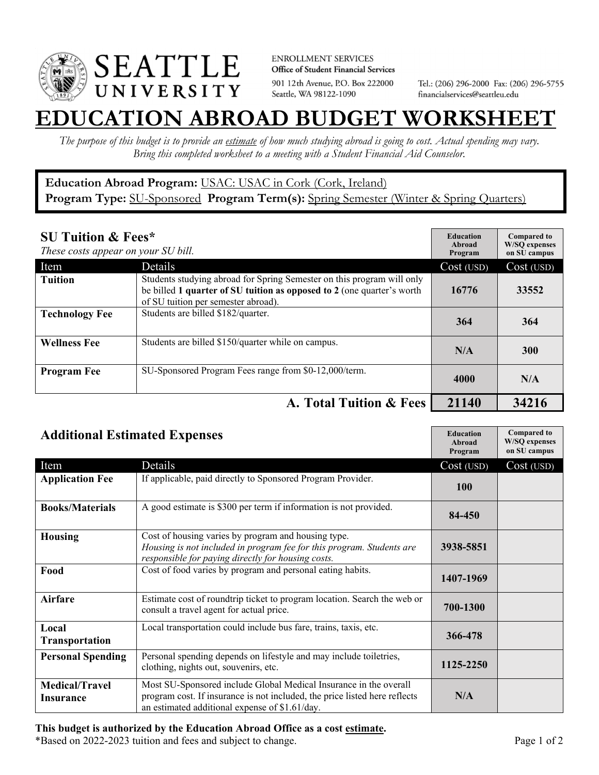

**ENROLLMENT SERVICES** Office of Student Financial Services 901 12th Avenue, P.O. Box 222000 Seattle, WA 98122-1090

Tel.: (206) 296-2000 Fax: (206) 296-5755 financialservices@seattleu.edu

## **EATION ABROAD BUDGET WORKSHEE**

*The purpose of this budget is to provide an estimate of how much studying abroad is going to cost. Actual spending may vary. Bring this completed worksheet to a meeting with a Student Financial Aid Counselor.* 

## **Education Abroad Program:** USAC: USAC in Cork (Cork, Ireland) Program Type: **SU-Sponsored** Program Term(s): **Spring Semester** (Winter & Spring Quarters)

| <b>SU Tuition &amp; Fees*</b><br>These costs appear on your SU bill. |                                                                                                                                                                                         | <b>Education</b><br>Abroad<br>Program | <b>Compared to</b><br><b>W/SO</b> expenses<br>on SU campus |
|----------------------------------------------------------------------|-----------------------------------------------------------------------------------------------------------------------------------------------------------------------------------------|---------------------------------------|------------------------------------------------------------|
| Item                                                                 | Details                                                                                                                                                                                 | Cost (USD)                            | Cost (USD)                                                 |
| <b>Tuition</b>                                                       | Students studying abroad for Spring Semester on this program will only<br>be billed 1 quarter of SU tuition as opposed to 2 (one quarter's worth<br>of SU tuition per semester abroad). | 16776                                 | 33552                                                      |
| <b>Technology Fee</b>                                                | Students are billed \$182/quarter.                                                                                                                                                      | 364                                   | 364                                                        |
| <b>Wellness Fee</b>                                                  | Students are billed \$150/quarter while on campus.                                                                                                                                      | N/A                                   | <b>300</b>                                                 |
| <b>Program Fee</b>                                                   | SU-Sponsored Program Fees range from \$0-12,000/term.                                                                                                                                   | 4000                                  | N/A                                                        |
|                                                                      | A. Total Tuition & Fees                                                                                                                                                                 | 21140                                 | 34216                                                      |

| <b>Additional Estimated Expenses</b> |                                                                                                                                                                                                   | <b>Education</b><br>Abroad<br>Program | <b>Compared to</b><br><b>W/SQ</b> expenses<br>on SU campus |
|--------------------------------------|---------------------------------------------------------------------------------------------------------------------------------------------------------------------------------------------------|---------------------------------------|------------------------------------------------------------|
| Item                                 | Details                                                                                                                                                                                           | Cost (USD)                            | Cost (USD)                                                 |
| <b>Application Fee</b>               | If applicable, paid directly to Sponsored Program Provider.                                                                                                                                       | <b>100</b>                            |                                                            |
| <b>Books/Materials</b>               | A good estimate is \$300 per term if information is not provided.                                                                                                                                 | 84-450                                |                                                            |
| <b>Housing</b>                       | Cost of housing varies by program and housing type.<br>Housing is not included in program fee for this program. Students are<br>responsible for paying directly for housing costs.                | 3938-5851                             |                                                            |
| Food                                 | Cost of food varies by program and personal eating habits.                                                                                                                                        | 1407-1969                             |                                                            |
| <b>Airfare</b>                       | Estimate cost of roundtrip ticket to program location. Search the web or<br>consult a travel agent for actual price.                                                                              | 700-1300                              |                                                            |
| Local<br><b>Transportation</b>       | Local transportation could include bus fare, trains, taxis, etc.                                                                                                                                  | 366-478                               |                                                            |
| <b>Personal Spending</b>             | Personal spending depends on lifestyle and may include toiletries,<br>clothing, nights out, souvenirs, etc.                                                                                       | 1125-2250                             |                                                            |
| <b>Medical/Travel</b><br>Insurance   | Most SU-Sponsored include Global Medical Insurance in the overall<br>program cost. If insurance is not included, the price listed here reflects<br>an estimated additional expense of \$1.61/day. | N/A                                   |                                                            |

## **This budget is authorized by the Education Abroad Office as a cost estimate.**

\*Based on 2022-2023 tuition and fees and subject to change. Page 1 of 2